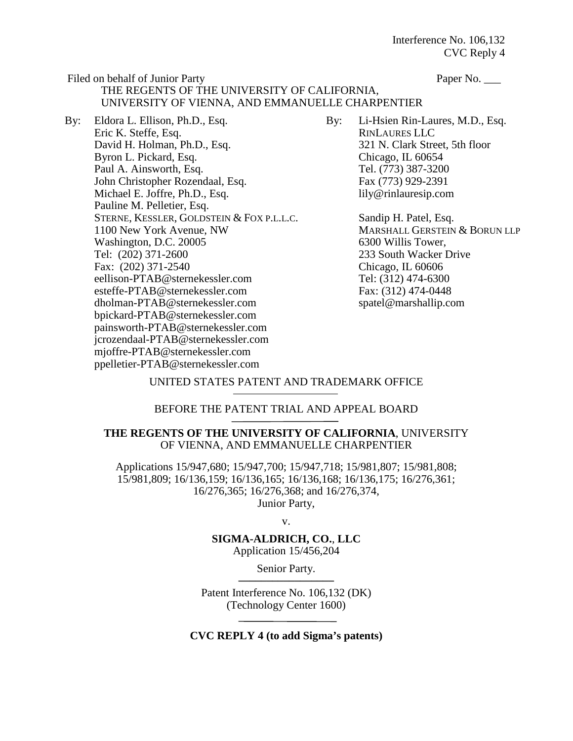Filed on behalf of Junior Party Paper No. THE REGENTS OF THE UNIVERSITY OF CALIFORNIA, UNIVERSITY OF VIENNA, AND EMMANUELLE CHARPENTIER

By: Eldora L. Ellison, Ph.D., Esq. Eric K. Steffe, Esq. David H. Holman, Ph.D., Esq. Byron L. Pickard, Esq. Paul A. Ainsworth, Esq. John Christopher Rozendaal, Esq. Michael E. Joffre, Ph.D., Esq. Pauline M. Pelletier, Esq. STERNE, KESSLER, GOLDSTEIN & FOX P.L.L.C. 1100 New York Avenue, NW Washington, D.C. 20005 Tel: (202) 371-2600 Fax: (202) 371-2540 eellison-PTAB@sternekessler.com esteffe-PTAB@sternekessler.com dholman-PTAB@sternekessler.com bpickard-PTAB@sternekessler.com painsworth-PTAB@sternekessler.com jcrozendaal-PTAB@sternekessler.com mjoffre-PTAB@sternekessler.com ppelletier-PTAB@sternekessler.com

By: Li-Hsien Rin-Laures, M.D., Esq. RINLAURES LLC 321 N. Clark Street, 5th floor Chicago, IL 60654 Tel. (773) 387-3200 Fax (773) 929-2391 lily@rinlauresip.com

> Sandip H. Patel, Esq. MARSHALL GERSTEIN & BORUN LLP 6300 Willis Tower, 233 South Wacker Drive Chicago, IL 60606 Tel: (312) 474-6300 Fax: (312) 474-0448 spatel@marshallip.com

### UNITED STATES PATENT AND TRADEMARK OFFICE

### BEFORE THE PATENT TRIAL AND APPEAL BOARD

### **THE REGENTS OF THE UNIVERSITY OF CALIFORNIA**, UNIVERSITY OF VIENNA, AND EMMANUELLE CHARPENTIER

Applications 15/947,680; 15/947,700; 15/947,718; 15/981,807; 15/981,808; 15/981,809; 16/136,159; 16/136,165; 16/136,168; 16/136,175; 16/276,361; 16/276,365; 16/276,368; and 16/276,374, Junior Party,

v.

### **SIGMA-ALDRICH, CO.**, **LLC**

Application 15/456,204

Senior Party.

Patent Interference No. 106,132 (DK) (Technology Center 1600)

**CVC REPLY 4 (to add Sigma's patents)**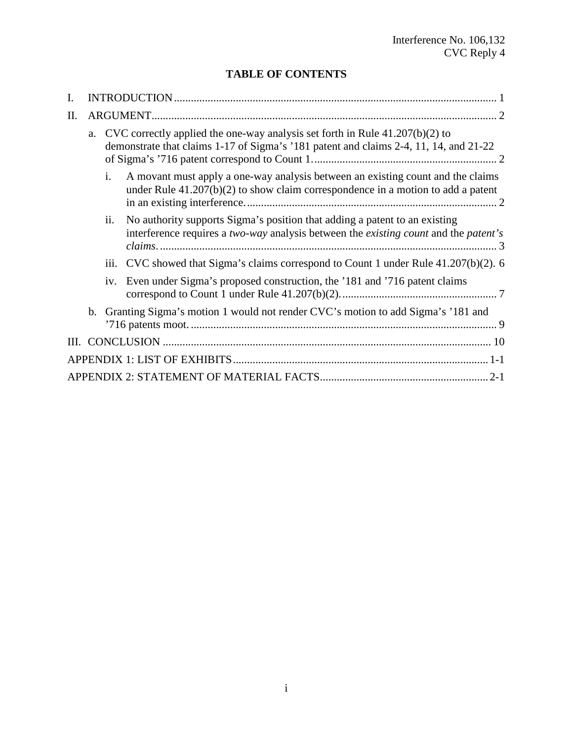## **TABLE OF CONTENTS**

| I. |                |                                                                                                                                                                          |
|----|----------------|--------------------------------------------------------------------------------------------------------------------------------------------------------------------------|
| Π. |                |                                                                                                                                                                          |
|    |                | a. CVC correctly applied the one-way analysis set forth in Rule 41.207(b)(2) to<br>demonstrate that claims 1-17 of Sigma's '181 patent and claims 2-4, 11, 14, and 21-22 |
|    | $\mathbf{i}$ . | A movant must apply a one-way analysis between an existing count and the claims<br>under Rule $41.207(b)(2)$ to show claim correspondence in a motion to add a patent    |
|    | ii.            | No authority supports Sigma's position that adding a patent to an existing<br>interference requires a two-way analysis between the existing count and the patent's       |
|    |                | iii. CVC showed that Sigma's claims correspond to Count 1 under Rule 41.207(b)(2). 6                                                                                     |
|    | iv.            | Even under Sigma's proposed construction, the '181 and '716 patent claims                                                                                                |
|    |                | b. Granting Sigma's motion 1 would not render CVC's motion to add Sigma's '181 and                                                                                       |
|    |                |                                                                                                                                                                          |
|    |                |                                                                                                                                                                          |
|    |                |                                                                                                                                                                          |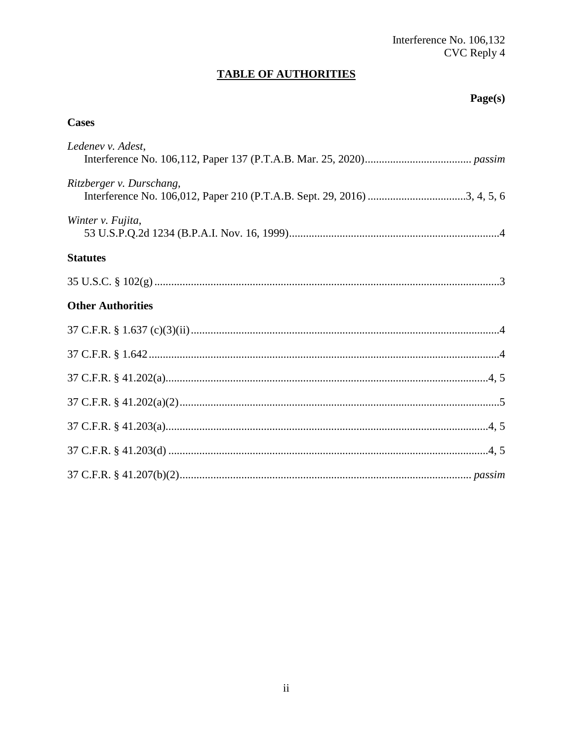# **TABLE OF AUTHORITIES**

## Page(s)

## **Cases**

| Ledenev v. Adest,        |
|--------------------------|
| Ritzberger v. Durschang, |
| Winter v. Fujita,        |
| <b>Statutes</b>          |
|                          |
| <b>Other Authorities</b> |
|                          |
|                          |
|                          |
|                          |
|                          |
|                          |
|                          |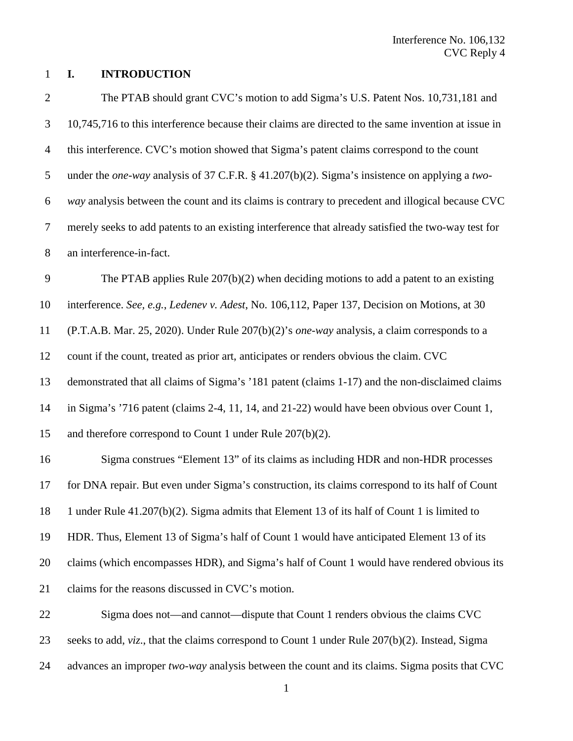#### **I. INTRODUCTION**

<span id="page-3-0"></span> The PTAB should grant CVC's motion to add Sigma's U.S. Patent Nos. 10,731,181 and 10,745,716 to this interference because their claims are directed to the same invention at issue in this interference. CVC's motion showed that Sigma's patent claims correspond to the count under the *one-way* analysis of 37 C.F.R. § 41.207(b)(2). Sigma's insistence on applying a *two- way* analysis between the count and its claims is contrary to precedent and illogical because CVC merely seeks to add patents to an existing interference that already satisfied the two-way test for an interference-in-fact. The PTAB applies Rule 207(b)(2) when deciding motions to add a patent to an existing interference. *See, e.g.*, *Ledenev v. Adest*, No. 106,112, Paper 137, Decision on Motions, at 30 (P.T.A.B. Mar. 25, 2020). Under Rule 207(b)(2)'s *one-way* analysis, a claim corresponds to a count if the count, treated as prior art, anticipates or renders obvious the claim. CVC demonstrated that all claims of Sigma's '181 patent (claims 1-17) and the non-disclaimed claims in Sigma's '716 patent (claims 2-4, 11, 14, and 21-22) would have been obvious over Count 1, and therefore correspond to Count 1 under Rule 207(b)(2). Sigma construes "Element 13" of its claims as including HDR and non-HDR processes for DNA repair. But even under Sigma's construction, its claims correspond to its half of Count 1 under Rule 41.207(b)(2). Sigma admits that Element 13 of its half of Count 1 is limited to HDR. Thus, Element 13 of Sigma's half of Count 1 would have anticipated Element 13 of its claims (which encompasses HDR), and Sigma's half of Count 1 would have rendered obvious its claims for the reasons discussed in CVC's motion. Sigma does not—and cannot—dispute that Count 1 renders obvious the claims CVC

seeks to add, *viz*., that the claims correspond to Count 1 under Rule 207(b)(2). Instead, Sigma

advances an improper *two-way* analysis between the count and its claims. Sigma posits that CVC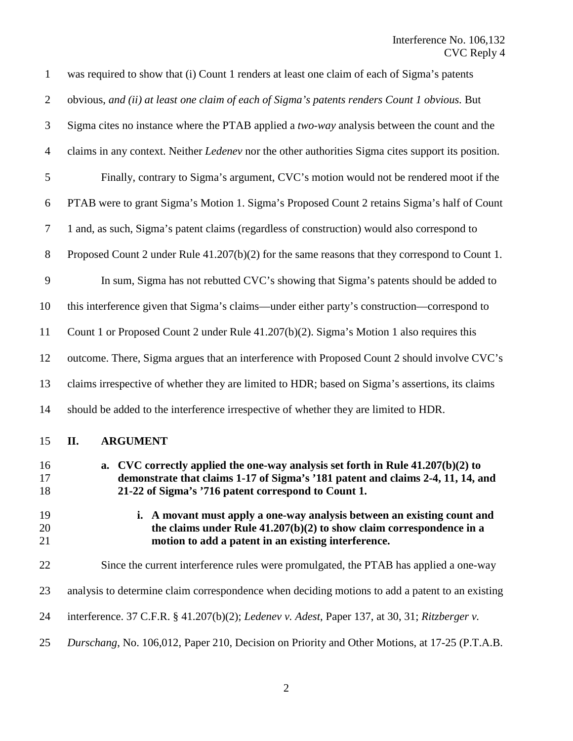<span id="page-4-0"></span>

| $\mathbf{1}$   | was required to show that (i) Count 1 renders at least one claim of each of Sigma's patents                                                                                                                                 |
|----------------|-----------------------------------------------------------------------------------------------------------------------------------------------------------------------------------------------------------------------------|
| $\overline{2}$ | obvious, and (ii) at least one claim of each of Sigma's patents renders Count 1 obvious. But                                                                                                                                |
| 3              | Sigma cites no instance where the PTAB applied a two-way analysis between the count and the                                                                                                                                 |
| $\overline{4}$ | claims in any context. Neither <i>Ledenev</i> nor the other authorities Sigma cites support its position.                                                                                                                   |
| $\mathfrak{S}$ | Finally, contrary to Sigma's argument, CVC's motion would not be rendered moot if the                                                                                                                                       |
| 6              | PTAB were to grant Sigma's Motion 1. Sigma's Proposed Count 2 retains Sigma's half of Count                                                                                                                                 |
| $\tau$         | 1 and, as such, Sigma's patent claims (regardless of construction) would also correspond to                                                                                                                                 |
| $8\phantom{1}$ | Proposed Count 2 under Rule 41.207(b)(2) for the same reasons that they correspond to Count 1.                                                                                                                              |
| 9              | In sum, Sigma has not rebutted CVC's showing that Sigma's patents should be added to                                                                                                                                        |
| 10             | this interference given that Sigma's claims—under either party's construction—correspond to                                                                                                                                 |
| 11             | Count 1 or Proposed Count 2 under Rule 41.207(b)(2). Sigma's Motion 1 also requires this                                                                                                                                    |
| 12             | outcome. There, Sigma argues that an interference with Proposed Count 2 should involve CVC's                                                                                                                                |
| 13             | claims irrespective of whether they are limited to HDR; based on Sigma's assertions, its claims                                                                                                                             |
| 14             | should be added to the interference irrespective of whether they are limited to HDR.                                                                                                                                        |
| 15             | II.<br><b>ARGUMENT</b>                                                                                                                                                                                                      |
| 16<br>17<br>18 | a. CVC correctly applied the one-way analysis set forth in Rule $41.207(b)(2)$ to<br>demonstrate that claims 1-17 of Sigma's '181 patent and claims 2-4, 11, 14, and<br>21-22 of Sigma's '716 patent correspond to Count 1. |
| 19<br>20<br>21 | i. A movant must apply a one-way analysis between an existing count and<br>the claims under Rule $41.207(b)(2)$ to show claim correspondence in a<br>motion to add a patent in an existing interference.                    |
| 22             | Since the current interference rules were promulgated, the PTAB has applied a one-way                                                                                                                                       |
| 23             | analysis to determine claim correspondence when deciding motions to add a patent to an existing                                                                                                                             |
| 24             | interference. 37 C.F.R. § 41.207(b)(2); Ledenev v. Adest, Paper 137, at 30, 31; Ritzberger v.                                                                                                                               |
| 25             | Durschang, No. 106,012, Paper 210, Decision on Priority and Other Motions, at 17-25 (P.T.A.B.                                                                                                                               |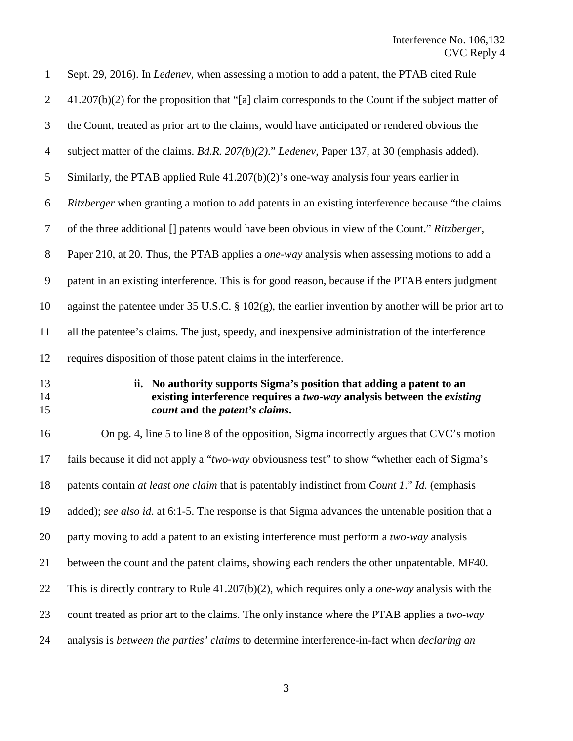<span id="page-5-0"></span>

| $\mathbf{1}$   | Sept. 29, 2016). In <i>Ledenev</i> , when assessing a motion to add a patent, the PTAB cited Rule                                                                                 |
|----------------|-----------------------------------------------------------------------------------------------------------------------------------------------------------------------------------|
| $\overline{2}$ | $41.207(b)(2)$ for the proposition that "[a] claim corresponds to the Count if the subject matter of                                                                              |
| 3              | the Count, treated as prior art to the claims, would have anticipated or rendered obvious the                                                                                     |
| $\overline{4}$ | subject matter of the claims. Bd.R. $207(b)(2)$ ." Ledenev, Paper 137, at 30 (emphasis added).                                                                                    |
| 5              | Similarly, the PTAB applied Rule $41.207(b)(2)$ 's one-way analysis four years earlier in                                                                                         |
| 6              | <i>Ritzberger</i> when granting a motion to add patents in an existing interference because "the claims"                                                                          |
| $\overline{7}$ | of the three additional [] patents would have been obvious in view of the Count." Ritzberger,                                                                                     |
| $8\,$          | Paper 210, at 20. Thus, the PTAB applies a <i>one-way</i> analysis when assessing motions to add a                                                                                |
| 9              | patent in an existing interference. This is for good reason, because if the PTAB enters judgment                                                                                  |
| 10             | against the patentee under 35 U.S.C. $\S 102(g)$ , the earlier invention by another will be prior art to                                                                          |
| 11             | all the patentee's claims. The just, speedy, and inexpensive administration of the interference                                                                                   |
| 12             | requires disposition of those patent claims in the interference.                                                                                                                  |
| 13<br>14<br>15 | ii. No authority supports Sigma's position that adding a patent to an<br>existing interference requires a two-way analysis between the existing<br>count and the patent's claims. |
| 16             | On pg. 4, line 5 to line 8 of the opposition, Sigma incorrectly argues that CVC's motion                                                                                          |
| 17             | fails because it did not apply a "two-way obviousness test" to show "whether each of Sigma's                                                                                      |
| 18             | patents contain at least one claim that is patentably indistinct from Count 1." Id. (emphasis                                                                                     |
| 19             | added); see also id. at 6:1-5. The response is that Sigma advances the untenable position that a                                                                                  |
| 20             | party moving to add a patent to an existing interference must perform a two-way analysis                                                                                          |
| 21             | between the count and the patent claims, showing each renders the other unpatentable. MF40.                                                                                       |
| 22             | This is directly contrary to Rule $41.207(b)(2)$ , which requires only a <i>one-way</i> analysis with the                                                                         |
| 23             | count treated as prior art to the claims. The only instance where the PTAB applies a two-way                                                                                      |
| 24             | analysis is between the parties' claims to determine interference-in-fact when declaring an                                                                                       |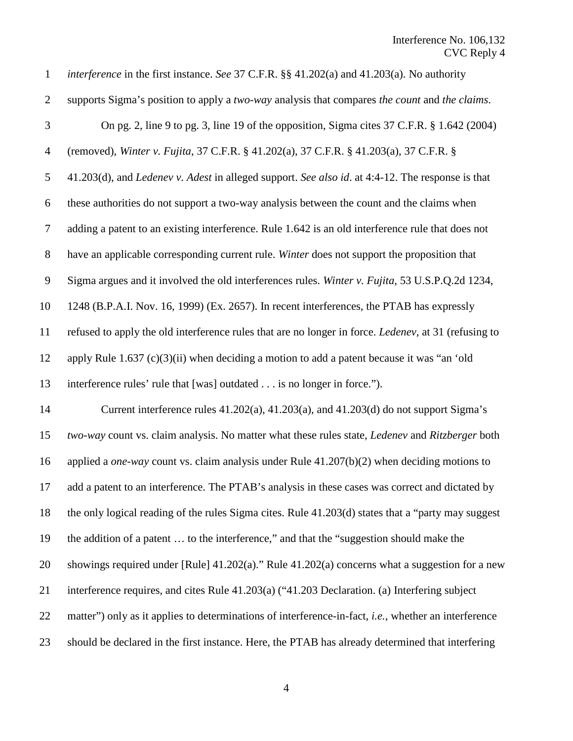<span id="page-6-4"></span><span id="page-6-3"></span><span id="page-6-2"></span><span id="page-6-1"></span><span id="page-6-0"></span>

| $\mathbf{1}$   | <i>interference</i> in the first instance. See 37 C.F.R. §§ 41.202(a) and 41.203(a). No authority             |
|----------------|---------------------------------------------------------------------------------------------------------------|
| $\overline{2}$ | supports Sigma's position to apply a two-way analysis that compares the count and the claims.                 |
| $\mathfrak{Z}$ | On pg. 2, line 9 to pg. 3, line 19 of the opposition, Sigma cites $37$ C.F.R. $\S$ 1.642 (2004)               |
| $\overline{4}$ | (removed), Winter v. Fujita, 37 C.F.R. § 41.202(a), 37 C.F.R. § 41.203(a), 37 C.F.R. §                        |
| 5              | 41.203(d), and <i>Ledenev v. Adest</i> in alleged support. See also id. at 4:4-12. The response is that       |
| 6              | these authorities do not support a two-way analysis between the count and the claims when                     |
| $\tau$         | adding a patent to an existing interference. Rule 1.642 is an old interference rule that does not             |
| $8\,$          | have an applicable corresponding current rule. Winter does not support the proposition that                   |
| 9              | Sigma argues and it involved the old interferences rules. Winter v. Fujita, 53 U.S.P.Q.2d 1234,               |
| 10             | 1248 (B.P.A.I. Nov. 16, 1999) (Ex. 2657). In recent interferences, the PTAB has expressly                     |
| 11             | refused to apply the old interference rules that are no longer in force. Ledenev, at 31 (refusing to          |
| 12             | apply Rule $1.637$ (c)(3)(ii) when deciding a motion to add a patent because it was "an 'old                  |
| 13             | interference rules' rule that [was] outdated is no longer in force.").                                        |
| 14             | Current interference rules $41.202(a)$ , $41.203(a)$ , and $41.203(d)$ do not support Sigma's                 |
| 15             | two-way count vs. claim analysis. No matter what these rules state, <i>Ledenev</i> and <i>Ritzberger</i> both |
| 16             | applied a <i>one-way</i> count vs. claim analysis under Rule $41.207(b)(2)$ when deciding motions to          |
| 17             | add a patent to an interference. The PTAB's analysis in these cases was correct and dictated by               |
| 18             | the only logical reading of the rules Sigma cites. Rule 41.203(d) states that a "party may suggest            |
| 19             | the addition of a patent  to the interference," and that the "suggestion should make the                      |
| 20             | showings required under [Rule] 41.202(a)." Rule 41.202(a) concerns what a suggestion for a new                |
| 21             | interference requires, and cites Rule 41.203(a) ("41.203 Declaration. (a) Interfering subject                 |
| 22             | matter") only as it applies to determinations of interference-in-fact, i.e., whether an interference          |
| 23             | should be declared in the first instance. Here, the PTAB has already determined that interfering              |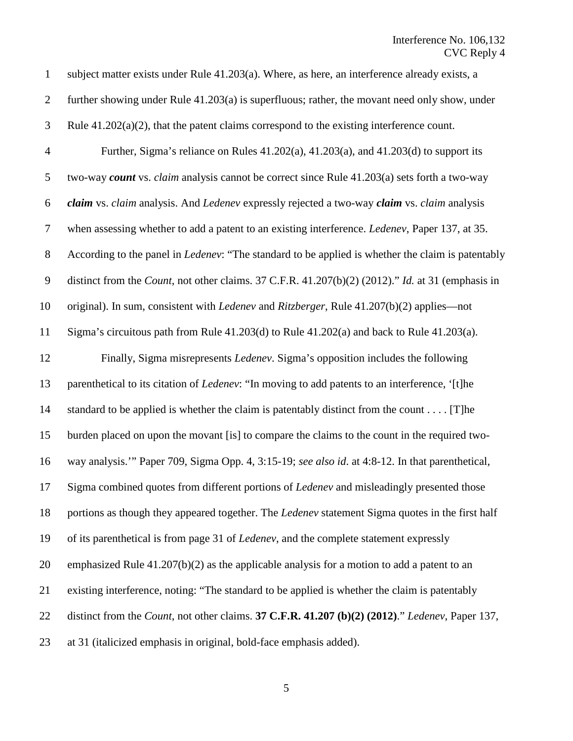<span id="page-7-0"></span>

| $\mathbf{1}$     | subject matter exists under Rule 41.203(a). Where, as here, an interference already exists, a                    |
|------------------|------------------------------------------------------------------------------------------------------------------|
| $\overline{2}$   | further showing under Rule 41.203(a) is superfluous; rather, the movant need only show, under                    |
| 3                | Rule $41.202(a)(2)$ , that the patent claims correspond to the existing interference count.                      |
| $\overline{4}$   | Further, Sigma's reliance on Rules 41.202(a), 41.203(a), and 41.203(d) to support its                            |
| 5                | two-way count vs. claim analysis cannot be correct since Rule 41.203(a) sets forth a two-way                     |
| 6                | claim vs. claim analysis. And Ledenev expressly rejected a two-way claim vs. claim analysis                      |
| $\boldsymbol{7}$ | when assessing whether to add a patent to an existing interference. Ledenev, Paper 137, at 35.                   |
| $8\,$            | According to the panel in <i>Ledenev</i> : "The standard to be applied is whether the claim is patentably        |
| $\mathbf{9}$     | distinct from the <i>Count</i> , not other claims. 37 C.F.R. 41.207(b)(2) (2012)." <i>Id.</i> at 31 (emphasis in |
| 10               | original). In sum, consistent with <i>Ledenev</i> and <i>Ritzberger</i> , Rule 41.207(b)(2) applies—not          |
| 11               | Sigma's circuitous path from Rule 41.203(d) to Rule 41.202(a) and back to Rule 41.203(a).                        |
| 12               | Finally, Sigma misrepresents Ledenev. Sigma's opposition includes the following                                  |
| 13               | parenthetical to its citation of Ledenev: "In moving to add patents to an interference, '[t]he                   |
| 14               | standard to be applied is whether the claim is patentably distinct from the count [T] he                         |
| 15               | burden placed on upon the movant [is] to compare the claims to the count in the required two-                    |
| 16               | way analysis."" Paper 709, Sigma Opp. 4, 3:15-19; see also id. at 4:8-12. In that parenthetical,                 |
| 17               | Sigma combined quotes from different portions of Ledenev and misleadingly presented those                        |
| 18               | portions as though they appeared together. The Ledenev statement Sigma quotes in the first half                  |
| 19               | of its parenthetical is from page 31 of <i>Ledenev</i> , and the complete statement expressly                    |
| 20               | emphasized Rule $41.207(b)(2)$ as the applicable analysis for a motion to add a patent to an                     |
| 21               | existing interference, noting: "The standard to be applied is whether the claim is patentably                    |
| 22               | distinct from the Count, not other claims. 37 C.F.R. 41.207 (b)(2) (2012)." Ledenev, Paper 137,                  |
| 23               | at 31 (italicized emphasis in original, bold-face emphasis added).                                               |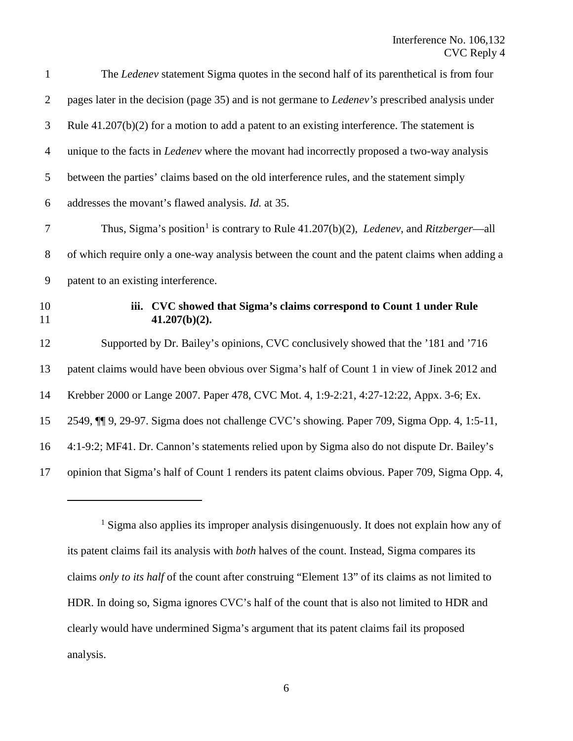<span id="page-8-0"></span>

| $\mathbf{1}$   | The <i>Ledenev</i> statement Sigma quotes in the second half of its parenthetical is from four                       |
|----------------|----------------------------------------------------------------------------------------------------------------------|
| $\overline{2}$ | pages later in the decision (page 35) and is not germane to <i>Ledenev's</i> prescribed analysis under               |
| 3              | Rule $41.207(b)(2)$ for a motion to add a patent to an existing interference. The statement is                       |
| $\overline{4}$ | unique to the facts in <i>Ledenev</i> where the movant had incorrectly proposed a two-way analysis                   |
| 5              | between the parties' claims based on the old interference rules, and the statement simply                            |
| 6              | addresses the movant's flawed analysis. <i>Id.</i> at 35.                                                            |
| $\tau$         | Thus, Sigma's position <sup>1</sup> is contrary to Rule $41.207(b)(2)$ , <i>Ledenev</i> , and <i>Ritzberger</i> —all |
| $8\phantom{1}$ | of which require only a one-way analysis between the count and the patent claims when adding a                       |
| 9              | patent to an existing interference.                                                                                  |
|                |                                                                                                                      |
| 10<br>11       | CVC showed that Sigma's claims correspond to Count 1 under Rule<br>iii.<br>$41.207(b)(2)$ .                          |
| 12             | Supported by Dr. Bailey's opinions, CVC conclusively showed that the '181 and '716                                   |
| 13             | patent claims would have been obvious over Sigma's half of Count 1 in view of Jinek 2012 and                         |
|                | Krebber 2000 or Lange 2007. Paper 478, CVC Mot. 4, 1:9-2:21, 4:27-12:22, Appx. 3-6; Ex.                              |
| 14<br>15       | 2549, ¶ 9, 29-97. Sigma does not challenge CVC's showing. Paper 709, Sigma Opp. 4, 1:5-11,                           |
| 16             | 4:1-9:2; MF41. Dr. Cannon's statements relied upon by Sigma also do not dispute Dr. Bailey's                         |
| 17             | opinion that Sigma's half of Count 1 renders its patent claims obvious. Paper 709, Sigma Opp. 4,                     |

<span id="page-8-1"></span><sup>&</sup>lt;sup>1</sup> Sigma also applies its improper analysis disingenuously. It does not explain how any of its patent claims fail its analysis with *both* halves of the count. Instead, Sigma compares its claims *only to its half* of the count after construing "Element 13" of its claims as not limited to HDR. In doing so, Sigma ignores CVC's half of the count that is also not limited to HDR and clearly would have undermined Sigma's argument that its patent claims fail its proposed analysis.

 $\overline{a}$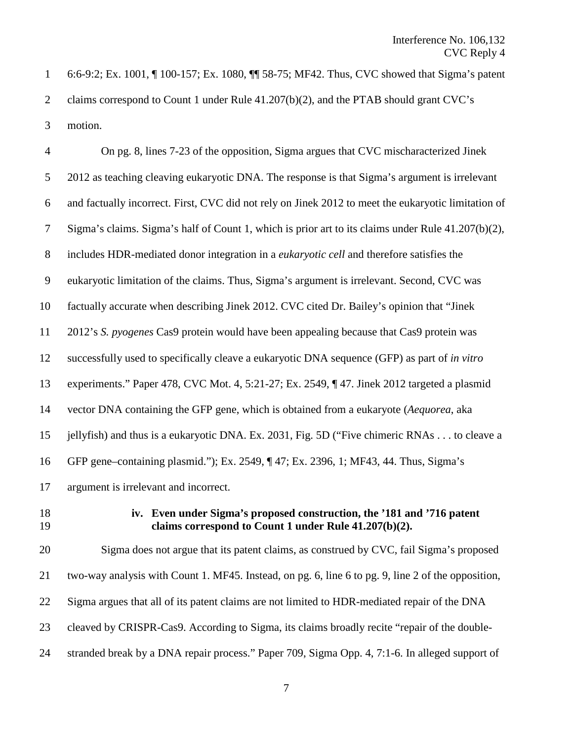6:6-9:2; Ex. 1001, ¶ 100-157; Ex. 1080, ¶¶ 58-75; MF42. Thus, CVC showed that Sigma's patent claims correspond to Count 1 under Rule 41.207(b)(2), and the PTAB should grant CVC's motion.

| $\overline{4}$ | On pg. 8, lines 7-23 of the opposition, Sigma argues that CVC mischaracterized Jinek                                            |
|----------------|---------------------------------------------------------------------------------------------------------------------------------|
| 5              | 2012 as teaching cleaving eukaryotic DNA. The response is that Sigma's argument is irrelevant                                   |
| 6              | and factually incorrect. First, CVC did not rely on Jinek 2012 to meet the eukaryotic limitation of                             |
| 7              | Sigma's claims. Sigma's half of Count 1, which is prior art to its claims under Rule 41.207(b)(2),                              |
| 8              | includes HDR-mediated donor integration in a <i>eukaryotic cell</i> and therefore satisfies the                                 |
| 9              | eukaryotic limitation of the claims. Thus, Sigma's argument is irrelevant. Second, CVC was                                      |
| 10             | factually accurate when describing Jinek 2012. CVC cited Dr. Bailey's opinion that "Jinek"                                      |
| 11             | 2012's S. pyogenes Cas9 protein would have been appealing because that Cas9 protein was                                         |
| 12             | successfully used to specifically cleave a eukaryotic DNA sequence (GFP) as part of in vitro                                    |
| 13             | experiments." Paper 478, CVC Mot. 4, 5:21-27; Ex. 2549, ¶47. Jinek 2012 targeted a plasmid                                      |
| 14             | vector DNA containing the GFP gene, which is obtained from a eukaryote (Aequorea, aka                                           |
| 15             | jellyfish) and thus is a eukaryotic DNA. Ex. 2031, Fig. 5D ("Five chimeric RNAs to cleave a                                     |
| 16             | GFP gene–containing plasmid."); Ex. 2549, ¶47; Ex. 2396, 1; MF43, 44. Thus, Sigma's                                             |
| 17             | argument is irrelevant and incorrect.                                                                                           |
| 18<br>19       | iv. Even under Sigma's proposed construction, the '181 and '716 patent<br>claims correspond to Count 1 under Rule 41.207(b)(2). |
| 20             | Sigma does not argue that its patent claims, as construed by CVC, fail Sigma's proposed                                         |

 two-way analysis with Count 1. MF45. Instead, on pg. 6, line 6 to pg. 9, line 2 of the opposition, Sigma argues that all of its patent claims are not limited to HDR-mediated repair of the DNA

- cleaved by CRISPR-Cas9. According to Sigma, its claims broadly recite "repair of the double-
- stranded break by a DNA repair process." Paper 709, Sigma Opp. 4, 7:1-6. In alleged support of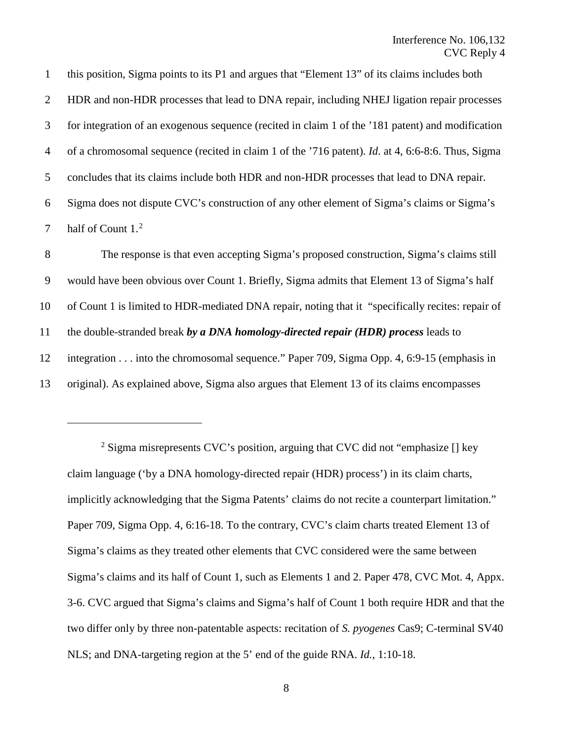this position, Sigma points to its P1 and argues that "Element 13" of its claims includes both HDR and non-HDR processes that lead to DNA repair, including NHEJ ligation repair processes for integration of an exogenous sequence (recited in claim 1 of the '181 patent) and modification of a chromosomal sequence (recited in claim 1 of the '716 patent). *Id*. at 4, 6:6-8:6. Thus, Sigma concludes that its claims include both HDR and non-HDR processes that lead to DNA repair. Sigma does not dispute CVC's construction of any other element of Sigma's claims or Sigma's 7 half of Count  $1<sup>2</sup>$  $1<sup>2</sup>$  $1<sup>2</sup>$ 

 The response is that even accepting Sigma's proposed construction, Sigma's claims still would have been obvious over Count 1. Briefly, Sigma admits that Element 13 of Sigma's half of Count 1 is limited to HDR-mediated DNA repair, noting that it "specifically recites: repair of the double-stranded break *by a DNA homology-directed repair (HDR) process* leads to integration . . . into the chromosomal sequence." Paper 709, Sigma Opp. 4, 6:9-15 (emphasis in original). As explained above, Sigma also argues that Element 13 of its claims encompasses

 $\overline{a}$ 

<span id="page-10-0"></span><sup>&</sup>lt;sup>2</sup> Sigma misrepresents CVC's position, arguing that CVC did not "emphasize  $\iint$  key claim language ('by a DNA homology-directed repair (HDR) process') in its claim charts, implicitly acknowledging that the Sigma Patents' claims do not recite a counterpart limitation." Paper 709, Sigma Opp. 4, 6:16-18. To the contrary, CVC's claim charts treated Element 13 of Sigma's claims as they treated other elements that CVC considered were the same between Sigma's claims and its half of Count 1, such as Elements 1 and 2. Paper 478, CVC Mot. 4, Appx. 3-6. CVC argued that Sigma's claims and Sigma's half of Count 1 both require HDR and that the two differ only by three non-patentable aspects: recitation of *S. pyogenes* Cas9; C-terminal SV40 NLS; and DNA-targeting region at the 5' end of the guide RNA. *Id.*, 1:10-18.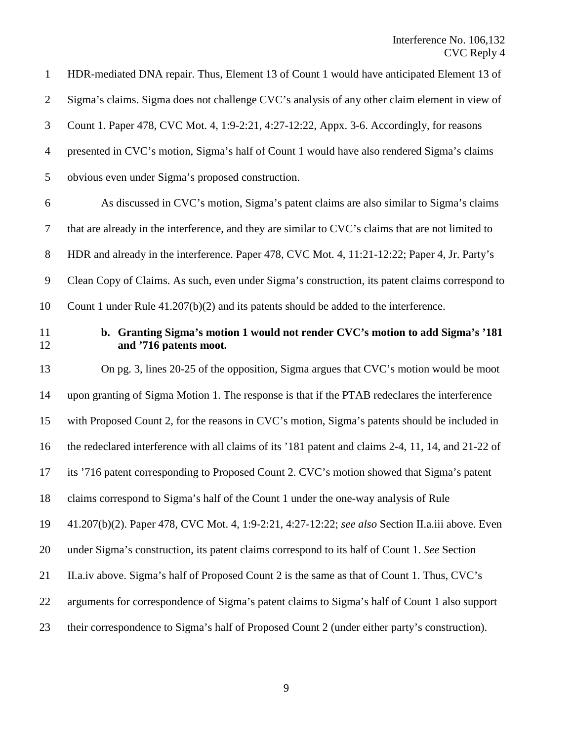HDR-mediated DNA repair. Thus, Element 13 of Count 1 would have anticipated Element 13 of Sigma's claims. Sigma does not challenge CVC's analysis of any other claim element in view of Count 1. Paper 478, CVC Mot. 4, 1:9-2:21, 4:27-12:22, Appx. 3-6. Accordingly, for reasons presented in CVC's motion, Sigma's half of Count 1 would have also rendered Sigma's claims obvious even under Sigma's proposed construction. As discussed in CVC's motion, Sigma's patent claims are also similar to Sigma's claims that are already in the interference, and they are similar to CVC's claims that are not limited to 8 HDR and already in the interference. Paper 478, CVC Mot. 4, 11:21-12:22; Paper 4, Jr. Party's Clean Copy of Claims. As such, even under Sigma's construction, its patent claims correspond to Count 1 under Rule 41.207(b)(2) and its patents should be added to the interference. **b. Granting Sigma's motion 1 would not render CVC's motion to add Sigma's '181 and '716 patents moot.**  On pg. 3, lines 20-25 of the opposition, Sigma argues that CVC's motion would be moot upon granting of Sigma Motion 1. The response is that if the PTAB redeclares the interference with Proposed Count 2, for the reasons in CVC's motion, Sigma's patents should be included in the redeclared interference with all claims of its '181 patent and claims 2-4, 11, 14, and 21-22 of its '716 patent corresponding to Proposed Count 2. CVC's motion showed that Sigma's patent claims correspond to Sigma's half of the Count 1 under the one-way analysis of Rule 41.207(b)(2). Paper 478, CVC Mot. 4, 1:9-2:21, 4:27-12:22; *see also* Section II.a.iii above. Even under Sigma's construction, its patent claims correspond to its half of Count 1. *See* Section II.a.iv above. Sigma's half of Proposed Count 2 is the same as that of Count 1. Thus, CVC's arguments for correspondence of Sigma's patent claims to Sigma's half of Count 1 also support their correspondence to Sigma's half of Proposed Count 2 (under either party's construction).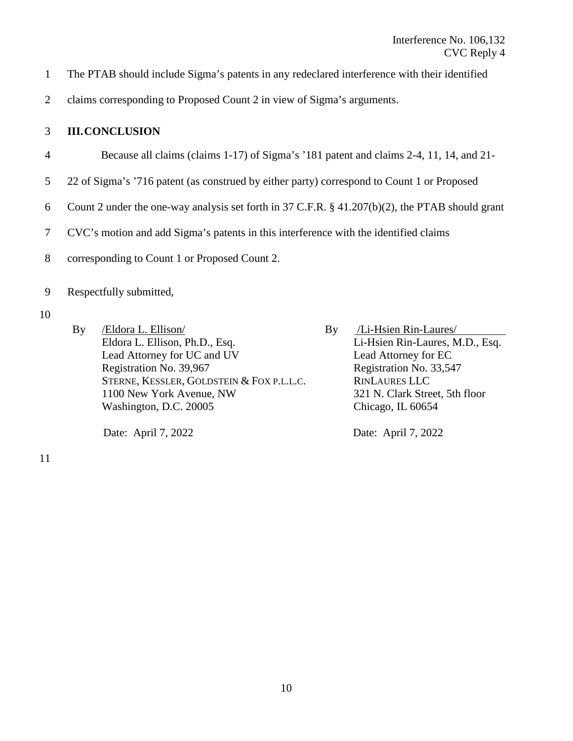- 1 The PTAB should include Sigma's patents in any redeclared interference with their identified
- 2 claims corresponding to Proposed Count 2 in view of Sigma's arguments.

## 3 **III.CONCLUSION**

- 4 Because all claims (claims 1-17) of Sigma's '181 patent and claims 2-4, 11, 14, and 21-
- 5 22 of Sigma's '716 patent (as construed by either party) correspond to Count 1 or Proposed
- 6 Count 2 under the one-way analysis set forth in 37 C.F.R. § 41.207(b)(2), the PTAB should grant
- 7 CVC's motion and add Sigma's patents in this interference with the identified claims
- 8 corresponding to Count 1 or Proposed Count 2.
- 9 Respectfully submitted,
- 10
- By /Eldora L. Ellison/ Eldora L. Ellison, Ph.D., Esq. Lead Attorney for UC and UV Registration No. 39,967 STERNE, KESSLER, GOLDSTEIN & FOX P.L.L.C. 1100 New York Avenue, NW Washington, D.C. 20005

Date: April 7, 2022

By /Li-Hsien Rin-Laures/ Li-Hsien Rin-Laures, M.D., Esq. Lead Attorney for EC Registration No. 33,547 RINLAURES LLC 321 N. Clark Street, 5th floor Chicago, IL 60654

Date: April 7, 2022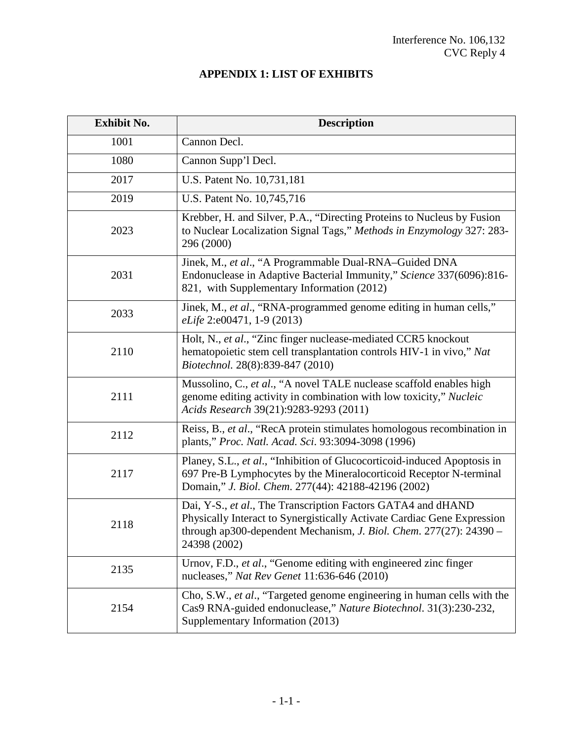## **APPENDIX 1: LIST OF EXHIBITS**

| <b>Exhibit No.</b> | <b>Description</b>                                                                                                                                                                                                                                                                                                                                                |  |  |  |
|--------------------|-------------------------------------------------------------------------------------------------------------------------------------------------------------------------------------------------------------------------------------------------------------------------------------------------------------------------------------------------------------------|--|--|--|
| 1001               | Cannon Decl.                                                                                                                                                                                                                                                                                                                                                      |  |  |  |
| 1080               | Cannon Supp'l Decl.                                                                                                                                                                                                                                                                                                                                               |  |  |  |
| 2017               | U.S. Patent No. 10,731,181                                                                                                                                                                                                                                                                                                                                        |  |  |  |
| 2019               | U.S. Patent No. 10,745,716                                                                                                                                                                                                                                                                                                                                        |  |  |  |
| 2023               | Krebber, H. and Silver, P.A., "Directing Proteins to Nucleus by Fusion<br>to Nuclear Localization Signal Tags," Methods in Enzymology 327: 283-<br>296 (2000)                                                                                                                                                                                                     |  |  |  |
| 2031               | Jinek, M., et al., "A Programmable Dual-RNA-Guided DNA<br>Endonuclease in Adaptive Bacterial Immunity," Science 337(6096):816-<br>821, with Supplementary Information (2012)                                                                                                                                                                                      |  |  |  |
| 2033               | Jinek, M., et al., "RNA-programmed genome editing in human cells,"<br>eLife 2:e00471, 1-9 (2013)                                                                                                                                                                                                                                                                  |  |  |  |
| 2110               | Holt, N., et al., "Zinc finger nuclease-mediated CCR5 knockout<br>hematopoietic stem cell transplantation controls HIV-1 in vivo," Nat<br>Biotechnol. 28(8):839-847 (2010)<br>Mussolino, C., et al., "A novel TALE nuclease scaffold enables high<br>genome editing activity in combination with low toxicity," Nucleic<br>Acids Research 39(21):9283-9293 (2011) |  |  |  |
| 2111               |                                                                                                                                                                                                                                                                                                                                                                   |  |  |  |
| 2112               | Reiss, B., et al., "RecA protein stimulates homologous recombination in<br>plants," Proc. Natl. Acad. Sci. 93:3094-3098 (1996)                                                                                                                                                                                                                                    |  |  |  |
| 2117               | Planey, S.L., et al., "Inhibition of Glucocorticoid-induced Apoptosis in<br>697 Pre-B Lymphocytes by the Mineralocorticoid Receptor N-terminal<br>Domain," J. Biol. Chem. 277(44): 42188-42196 (2002)                                                                                                                                                             |  |  |  |
| 2118               | Dai, Y-S., et al., The Transcription Factors GATA4 and dHAND<br>Physically Interact to Synergistically Activate Cardiac Gene Expression<br>through ap300-dependent Mechanism, J. Biol. Chem. 277(27): 24390<br>24398 (2002)                                                                                                                                       |  |  |  |
| 2135               | Urnov, F.D., et al., "Genome editing with engineered zinc finger<br>nucleases," Nat Rev Genet 11:636-646 (2010)                                                                                                                                                                                                                                                   |  |  |  |
| 2154               | Cho, S.W., et al., "Targeted genome engineering in human cells with the<br>Cas9 RNA-guided endonuclease," Nature Biotechnol. 31(3):230-232,<br>Supplementary Information (2013)                                                                                                                                                                                   |  |  |  |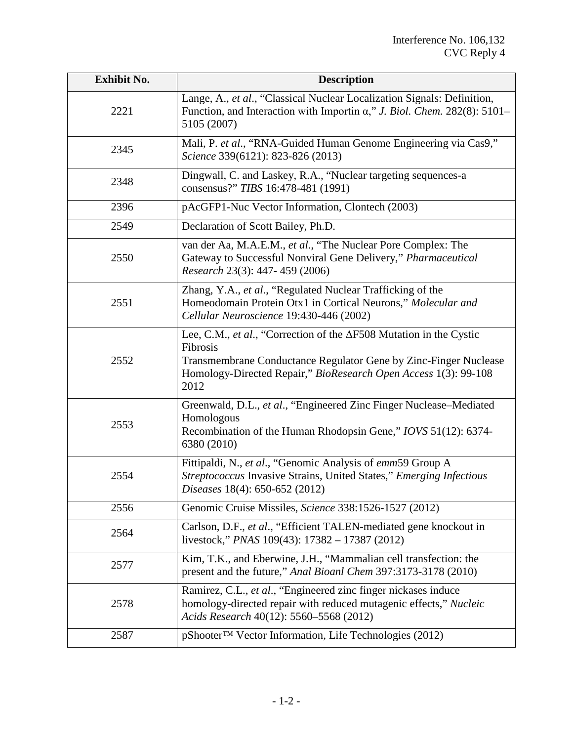| <b>Exhibit No.</b> | <b>Description</b>                                                                                                                                                                                                                                                                                                                          |  |  |  |
|--------------------|---------------------------------------------------------------------------------------------------------------------------------------------------------------------------------------------------------------------------------------------------------------------------------------------------------------------------------------------|--|--|--|
| 2221               | Lange, A., et al., "Classical Nuclear Localization Signals: Definition,<br>Function, and Interaction with Importin $\alpha$ ," J. Biol. Chem. 282(8): 5101–<br>5105 (2007)                                                                                                                                                                  |  |  |  |
| 2345               | Mali, P. et al., "RNA-Guided Human Genome Engineering via Cas9,"<br>Science 339(6121): 823-826 (2013)                                                                                                                                                                                                                                       |  |  |  |
| 2348               | Dingwall, C. and Laskey, R.A., "Nuclear targeting sequences-a<br>consensus?" TIBS 16:478-481 (1991)                                                                                                                                                                                                                                         |  |  |  |
| 2396               | pAcGFP1-Nuc Vector Information, Clontech (2003)                                                                                                                                                                                                                                                                                             |  |  |  |
| 2549               | Declaration of Scott Bailey, Ph.D.                                                                                                                                                                                                                                                                                                          |  |  |  |
| 2550               | van der Aa, M.A.E.M., et al., "The Nuclear Pore Complex: The<br>Gateway to Successful Nonviral Gene Delivery," Pharmaceutical<br>Research 23(3): 447-459 (2006)                                                                                                                                                                             |  |  |  |
| 2551               | Zhang, Y.A., et al., "Regulated Nuclear Trafficking of the<br>Homeodomain Protein Otx1 in Cortical Neurons," Molecular and<br>Cellular Neuroscience 19:430-446 (2002)                                                                                                                                                                       |  |  |  |
| 2552               | Lee, C.M., et al., "Correction of the $\Delta$ F508 Mutation in the Cystic<br>Fibrosis<br>Transmembrane Conductance Regulator Gene by Zinc-Finger Nuclease<br>Homology-Directed Repair," BioResearch Open Access 1(3): 99-108<br>2012                                                                                                       |  |  |  |
| 2553               | Greenwald, D.L., et al., "Engineered Zinc Finger Nuclease-Mediated<br>Homologous<br>Recombination of the Human Rhodopsin Gene," IOVS 51(12): 6374-<br>6380 (2010)                                                                                                                                                                           |  |  |  |
| 2554               | Fittipaldi, N., et al., "Genomic Analysis of emm59 Group A<br>Streptococcus Invasive Strains, United States," Emerging Infectious<br>Diseases 18(4): 650-652 (2012)                                                                                                                                                                         |  |  |  |
| 2556               | Genomic Cruise Missiles, Science 338:1526-1527 (2012)<br>Carlson, D.F., et al., "Efficient TALEN-mediated gene knockout in<br>2564<br>livestock," <i>PNAS</i> 109(43): $17382 - 17387$ (2012)<br>Kim, T.K., and Eberwine, J.H., "Mammalian cell transfection: the<br>2577<br>present and the future," Anal Bioanl Chem 397:3173-3178 (2010) |  |  |  |
|                    |                                                                                                                                                                                                                                                                                                                                             |  |  |  |
|                    |                                                                                                                                                                                                                                                                                                                                             |  |  |  |
| 2578               | Ramirez, C.L., et al., "Engineered zinc finger nickases induce<br>homology-directed repair with reduced mutagenic effects," Nucleic<br>Acids Research 40(12): 5560–5568 (2012)                                                                                                                                                              |  |  |  |
| 2587               | pShooter <sup>™</sup> Vector Information, Life Technologies (2012)                                                                                                                                                                                                                                                                          |  |  |  |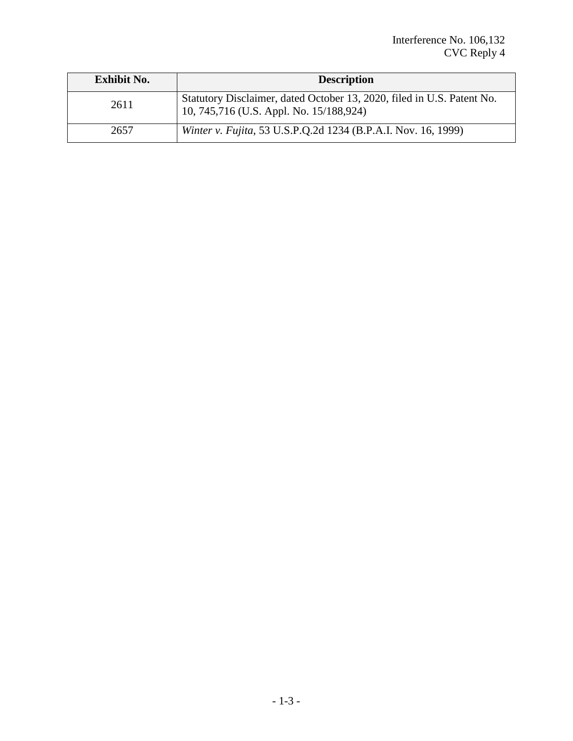| <b>Exhibit No.</b> | <b>Description</b>                                                                                                |
|--------------------|-------------------------------------------------------------------------------------------------------------------|
| 2611               | Statutory Disclaimer, dated October 13, 2020, filed in U.S. Patent No.<br>10, 745,716 (U.S. Appl. No. 15/188,924) |
| 2657               | Winter v. Fujita, 53 U.S.P.Q.2d 1234 (B.P.A.I. Nov. 16, 1999)                                                     |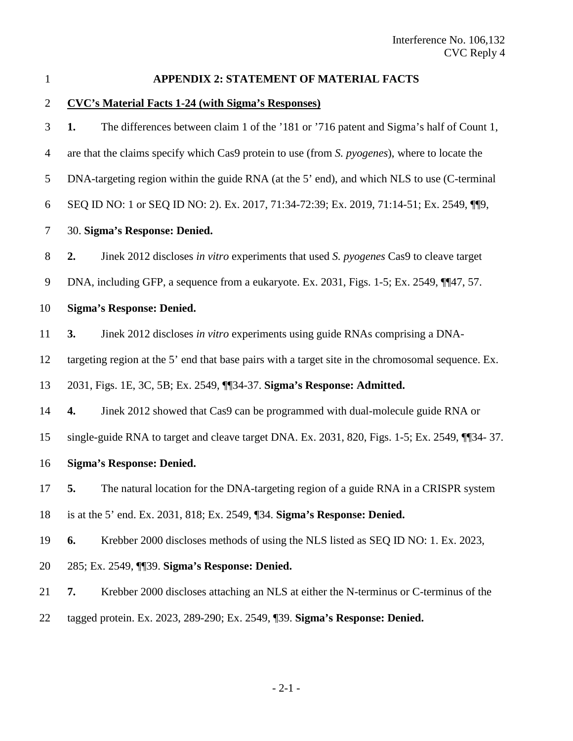| I |  |  |
|---|--|--|
|   |  |  |
|   |  |  |
|   |  |  |

### **APPENDIX 2: STATEMENT OF MATERIAL FACTS**

### **CVC's Material Facts 1-24 (with Sigma's Responses)**

 **1.** The differences between claim 1 of the '181 or '716 patent and Sigma's half of Count 1, are that the claims specify which Cas9 protein to use (from *S. pyogenes*), where to locate the DNA-targeting region within the guide RNA (at the 5' end), and which NLS to use (C-terminal SEQ ID NO: 1 or SEQ ID NO: 2). Ex. 2017, 71:34-72:39; Ex. 2019, 71:14-51; Ex. 2549, ¶¶9, 30. **Sigma's Response: Denied. 2.** Jinek 2012 discloses *in vitro* experiments that used *S. pyogenes* Cas9 to cleave target 9 DNA, including GFP, a sequence from a eukaryote. Ex. 2031, Figs. 1-5; Ex. 2549, ¶¶47, 57. **Sigma's Response: Denied. 3.** Jinek 2012 discloses *in vitro* experiments using guide RNAs comprising a DNA- targeting region at the 5' end that base pairs with a target site in the chromosomal sequence. Ex. 2031, Figs. 1E, 3C, 5B; Ex. 2549, ¶¶34-37. **Sigma's Response: Admitted. 4.** Jinek 2012 showed that Cas9 can be programmed with dual-molecule guide RNA or single-guide RNA to target and cleave target DNA. Ex. 2031, 820, Figs. 1-5; Ex. 2549, ¶¶34- 37. **Sigma's Response: Denied. 5.** The natural location for the DNA-targeting region of a guide RNA in a CRISPR system is at the 5' end. Ex. 2031, 818; Ex. 2549, ¶34. **Sigma's Response: Denied. 6.** Krebber 2000 discloses methods of using the NLS listed as SEQ ID NO: 1. Ex. 2023, 285; Ex. 2549, ¶¶39. **Sigma's Response: Denied. 7.** Krebber 2000 discloses attaching an NLS at either the N-terminus or C-terminus of the

tagged protein. Ex. 2023, 289-290; Ex. 2549, ¶39. **Sigma's Response: Denied.**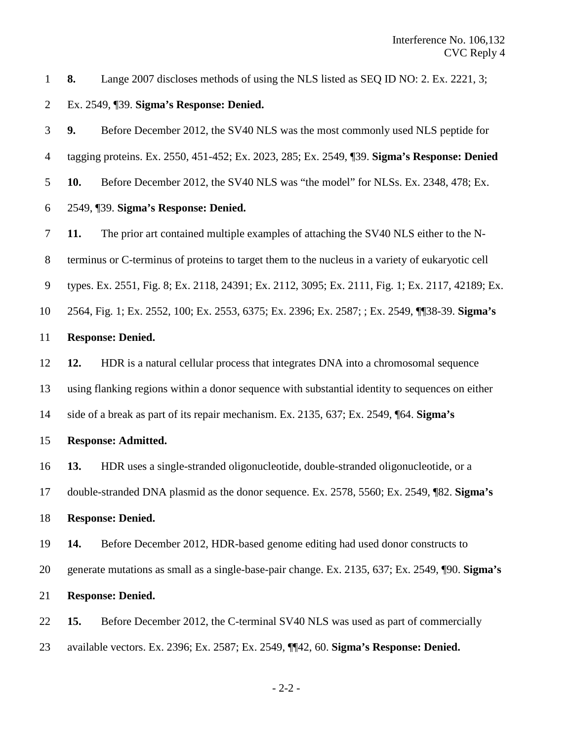**8.** Lange 2007 discloses methods of using the NLS listed as SEQ ID NO: 2. Ex. 2221, 3;

Ex. 2549, ¶39. **Sigma's Response: Denied.**

 **9.** Before December 2012, the SV40 NLS was the most commonly used NLS peptide for tagging proteins. Ex. 2550, 451-452; Ex. 2023, 285; Ex. 2549, ¶39. **Sigma's Response: Denied 10.** Before December 2012, the SV40 NLS was "the model" for NLSs. Ex. 2348, 478; Ex. 2549, ¶39. **Sigma's Response: Denied.**

**11.** The prior art contained multiple examples of attaching the SV40 NLS either to the N-

terminus or C-terminus of proteins to target them to the nucleus in a variety of eukaryotic cell

types. Ex. 2551, Fig. 8; Ex. 2118, 24391; Ex. 2112, 3095; Ex. 2111, Fig. 1; Ex. 2117, 42189; Ex.

2564, Fig. 1; Ex. 2552, 100; Ex. 2553, 6375; Ex. 2396; Ex. 2587; ; Ex. 2549, ¶¶38-39. **Sigma's** 

#### **Response: Denied.**

**12.** HDR is a natural cellular process that integrates DNA into a chromosomal sequence

using flanking regions within a donor sequence with substantial identity to sequences on either

side of a break as part of its repair mechanism. Ex. 2135, 637; Ex. 2549, ¶64. **Sigma's** 

#### **Response: Admitted.**

**13.** HDR uses a single-stranded oligonucleotide, double-stranded oligonucleotide, or a

double-stranded DNA plasmid as the donor sequence. Ex. 2578, 5560; Ex. 2549, ¶82. **Sigma's** 

```
18 Response: Denied.
```
**14.** Before December 2012, HDR-based genome editing had used donor constructs to

generate mutations as small as a single-base-pair change. Ex. 2135, 637; Ex. 2549, ¶90. **Sigma's** 

#### **Response: Denied.**

 **15.** Before December 2012, the C-terminal SV40 NLS was used as part of commercially available vectors. Ex. 2396; Ex. 2587; Ex. 2549, ¶¶42, 60. **Sigma's Response: Denied.**

- 2-2 -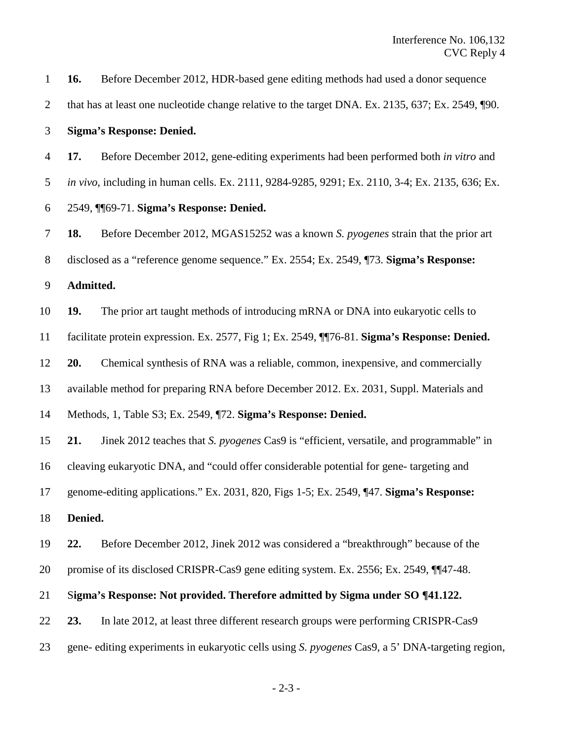| $\mathbf{1}$   | 16.                                                                                             | Before December 2012, HDR-based gene editing methods had used a donor sequence                    |  |
|----------------|-------------------------------------------------------------------------------------------------|---------------------------------------------------------------------------------------------------|--|
| $\overline{2}$ |                                                                                                 | that has at least one nucleotide change relative to the target DNA. Ex. 2135, 637; Ex. 2549, ¶90. |  |
| 3              | <b>Sigma's Response: Denied.</b>                                                                |                                                                                                   |  |
| $\overline{4}$ | 17.                                                                                             | Before December 2012, gene-editing experiments had been performed both in vitro and               |  |
| 5              |                                                                                                 | in vivo, including in human cells. Ex. 2111, 9284-9285, 9291; Ex. 2110, 3-4; Ex. 2135, 636; Ex.   |  |
| 6              | 2549, Mo9-71. Sigma's Response: Denied.                                                         |                                                                                                   |  |
| 7              | 18.                                                                                             | Before December 2012, MGAS15252 was a known S. pyogenes strain that the prior art                 |  |
| 8              |                                                                                                 | disclosed as a "reference genome sequence." Ex. 2554; Ex. 2549, ¶73. Sigma's Response:            |  |
| 9              | Admitted.                                                                                       |                                                                                                   |  |
| 10             | 19.                                                                                             | The prior art taught methods of introducing mRNA or DNA into eukaryotic cells to                  |  |
| 11             | facilitate protein expression. Ex. 2577, Fig 1; Ex. 2549, $\P$ 76-81. Sigma's Response: Denied. |                                                                                                   |  |
| 12             | 20.                                                                                             | Chemical synthesis of RNA was a reliable, common, inexpensive, and commercially                   |  |
| 13             | available method for preparing RNA before December 2012. Ex. 2031, Suppl. Materials and         |                                                                                                   |  |
| 14             | Methods, 1, Table S3; Ex. 2549, ¶72. Sigma's Response: Denied.                                  |                                                                                                   |  |
| 15             | 21.                                                                                             | Jinek 2012 teaches that S. pyogenes Cas9 is "efficient, versatile, and programmable" in           |  |
| 16             | cleaving eukaryotic DNA, and "could offer considerable potential for gene-targeting and         |                                                                                                   |  |
| 17             | genome-editing applications." Ex. 2031, 820, Figs 1-5; Ex. 2549, ¶47. Sigma's Response:         |                                                                                                   |  |
| 18             | Denied.                                                                                         |                                                                                                   |  |
| 19             | 22.                                                                                             | Before December 2012, Jinek 2012 was considered a "breakthrough" because of the                   |  |
| 20             |                                                                                                 | promise of its disclosed CRISPR-Cas9 gene editing system. Ex. 2556; Ex. 2549, 1147-48.            |  |
| 21             | Sigma's Response: Not provided. Therefore admitted by Sigma under SO ¶41.122.                   |                                                                                                   |  |
| 22             | 23.                                                                                             | In late 2012, at least three different research groups were performing CRISPR-Cas9                |  |
| 23             |                                                                                                 | gene- editing experiments in eukaryotic cells using S. pyogenes Cas9, a 5' DNA-targeting region,  |  |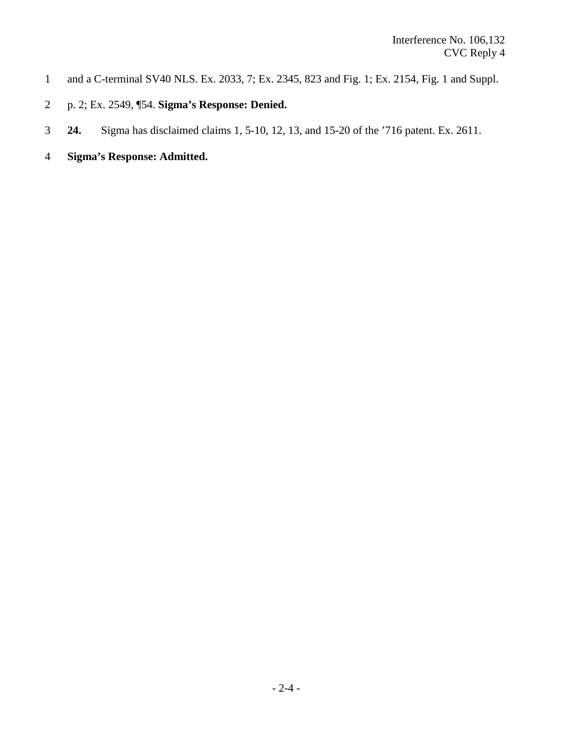- 1 and a C-terminal SV40 NLS. Ex. 2033, 7; Ex. 2345, 823 and Fig. 1; Ex. 2154, Fig. 1 and Suppl.
- 2 p. 2; Ex. 2549, ¶54. **Sigma's Response: Denied.**
- 3 **24.** Sigma has disclaimed claims 1, 5-10, 12, 13, and 15-20 of the '716 patent. Ex. 2611.
- 4 **Sigma's Response: Admitted.**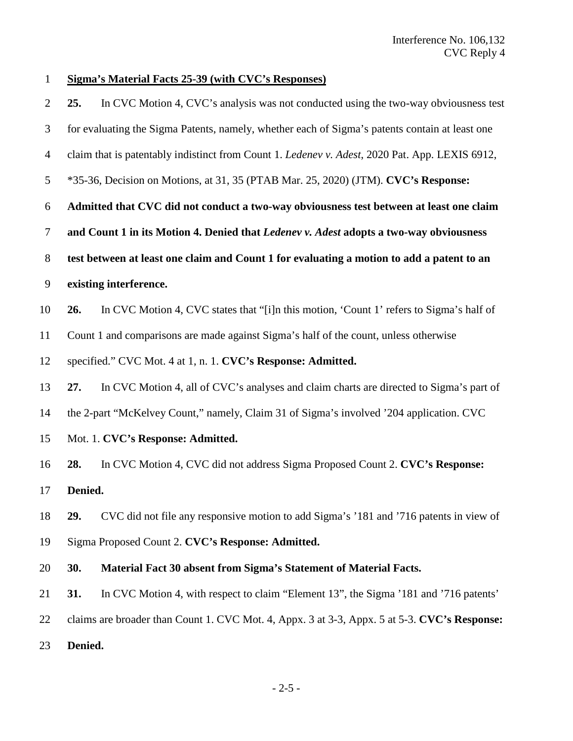# **Sigma's Material Facts 25-39 (with CVC's Responses)**

| $\overline{2}$ | 25.                                                                                       | In CVC Motion 4, CVC's analysis was not conducted using the two-way obviousness test           |  |
|----------------|-------------------------------------------------------------------------------------------|------------------------------------------------------------------------------------------------|--|
| 3              |                                                                                           | for evaluating the Sigma Patents, namely, whether each of Sigma's patents contain at least one |  |
| $\overline{4}$ |                                                                                           | claim that is patentably indistinct from Count 1. Ledenev v. Adest, 2020 Pat. App. LEXIS 6912, |  |
| 5              |                                                                                           | *35-36, Decision on Motions, at 31, 35 (PTAB Mar. 25, 2020) (JTM). CVC's Response:             |  |
| 6              | Admitted that CVC did not conduct a two-way obviousness test between at least one claim   |                                                                                                |  |
| 7              | and Count 1 in its Motion 4. Denied that Ledenev v. Adest adopts a two-way obviousness    |                                                                                                |  |
| 8              | test between at least one claim and Count 1 for evaluating a motion to add a patent to an |                                                                                                |  |
| 9              | existing interference.                                                                    |                                                                                                |  |
| 10             | 26.                                                                                       | In CVC Motion 4, CVC states that "[i]n this motion, 'Count 1' refers to Sigma's half of        |  |
| 11             | Count 1 and comparisons are made against Sigma's half of the count, unless otherwise      |                                                                                                |  |
| 12             |                                                                                           | specified." CVC Mot. 4 at 1, n. 1. CVC's Response: Admitted.                                   |  |
| 13             | 27.                                                                                       | In CVC Motion 4, all of CVC's analyses and claim charts are directed to Sigma's part of        |  |
| 14             | the 2-part "McKelvey Count," namely, Claim 31 of Sigma's involved '204 application. CVC   |                                                                                                |  |
| 15             | Mot. 1. CVC's Response: Admitted.                                                         |                                                                                                |  |
| 16             | 28.                                                                                       | In CVC Motion 4, CVC did not address Sigma Proposed Count 2. CVC's Response:                   |  |
| 17             | Denied.                                                                                   |                                                                                                |  |
| 18             | 29.                                                                                       | CVC did not file any responsive motion to add Sigma's '181 and '716 patents in view of         |  |
| 19             | Sigma Proposed Count 2. CVC's Response: Admitted.                                         |                                                                                                |  |
| 20             | 30.                                                                                       | Material Fact 30 absent from Sigma's Statement of Material Facts.                              |  |
| 21             | 31.                                                                                       | In CVC Motion 4, with respect to claim "Element 13", the Sigma '181 and '716 patents'          |  |
| 22             |                                                                                           | claims are broader than Count 1. CVC Mot. 4, Appx. 3 at 3-3, Appx. 5 at 5-3. CVC's Response:   |  |
| 23             | Denied.                                                                                   |                                                                                                |  |
|                |                                                                                           |                                                                                                |  |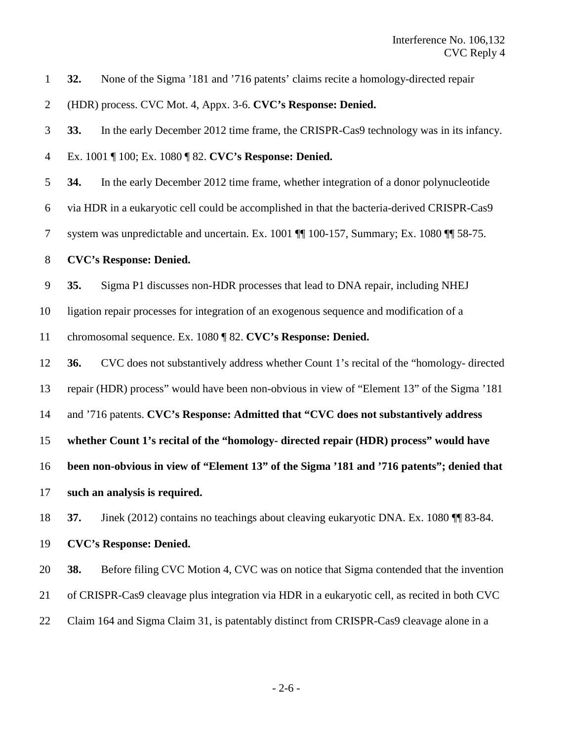**32.** None of the Sigma '181 and '716 patents' claims recite a homology-directed repair

(HDR) process. CVC Mot. 4, Appx. 3-6. **CVC's Response: Denied.**

**33.** In the early December 2012 time frame, the CRISPR-Cas9 technology was in its infancy.

Ex. 1001 ¶ 100; Ex. 1080 ¶ 82. **CVC's Response: Denied.**

**34.** In the early December 2012 time frame, whether integration of a donor polynucleotide

via HDR in a eukaryotic cell could be accomplished in that the bacteria-derived CRISPR-Cas9

system was unpredictable and uncertain. Ex. 1001 ¶¶ 100-157, Summary; Ex. 1080 ¶¶ 58-75.

### **CVC's Response: Denied.**

**35.** Sigma P1 discusses non-HDR processes that lead to DNA repair, including NHEJ

ligation repair processes for integration of an exogenous sequence and modification of a

chromosomal sequence. Ex. 1080 ¶ 82. **CVC's Response: Denied.**

**36.** CVC does not substantively address whether Count 1's recital of the "homology- directed

repair (HDR) process" would have been non-obvious in view of "Element 13" of the Sigma '181

and '716 patents. **CVC's Response: Admitted that "CVC does not substantively address** 

**whether Count 1's recital of the "homology- directed repair (HDR) process" would have** 

**been non-obvious in view of "Element 13" of the Sigma '181 and '716 patents"; denied that**

**such an analysis is required.**

**37.** Jinek (2012) contains no teachings about cleaving eukaryotic DNA. Ex. 1080 ¶¶ 83-84.

**CVC's Response: Denied.**

**38.** Before filing CVC Motion 4, CVC was on notice that Sigma contended that the invention

- of CRISPR-Cas9 cleavage plus integration via HDR in a eukaryotic cell, as recited in both CVC
- Claim 164 and Sigma Claim 31, is patentably distinct from CRISPR-Cas9 cleavage alone in a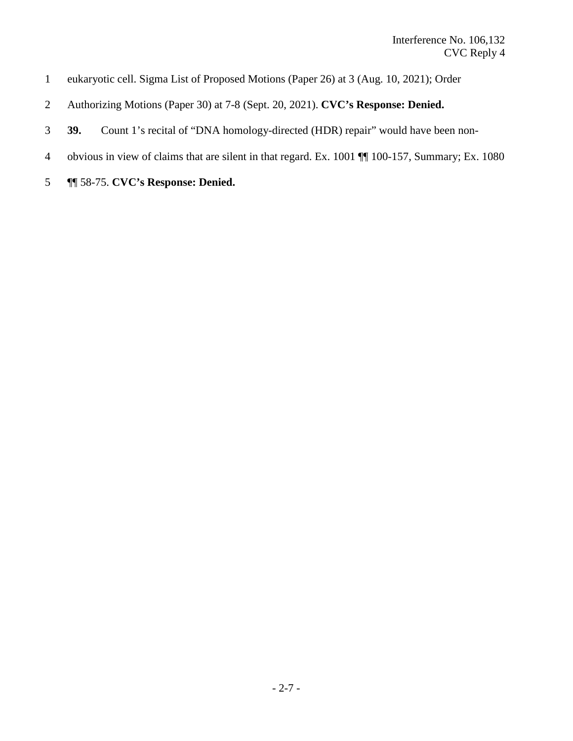- eukaryotic cell. Sigma List of Proposed Motions (Paper 26) at 3 (Aug. 10, 2021); Order
- Authorizing Motions (Paper 30) at 7-8 (Sept. 20, 2021). **CVC's Response: Denied.**
- **39.** Count 1's recital of "DNA homology-directed (HDR) repair" would have been non-
- obvious in view of claims that are silent in that regard. Ex. 1001 ¶¶ 100-157, Summary; Ex. 1080
- ¶¶ 58-75. **CVC's Response: Denied.**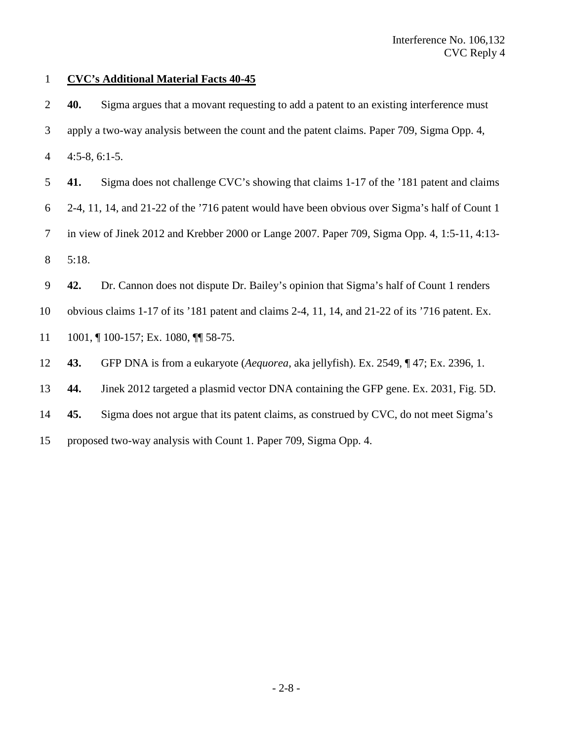### **CVC's Additional Material Facts 40-45**

- **40.** Sigma argues that a movant requesting to add a patent to an existing interference must
- apply a two-way analysis between the count and the patent claims. Paper 709, Sigma Opp. 4,
- 4:5-8, 6:1-5.
- **41.** Sigma does not challenge CVC's showing that claims 1-17 of the '181 patent and claims
- 2-4, 11, 14, and 21-22 of the '716 patent would have been obvious over Sigma's half of Count 1
- in view of Jinek 2012 and Krebber 2000 or Lange 2007. Paper 709, Sigma Opp. 4, 1:5-11, 4:13- 5:18.
- 
- **42.** Dr. Cannon does not dispute Dr. Bailey's opinion that Sigma's half of Count 1 renders
- obvious claims 1-17 of its '181 patent and claims 2-4, 11, 14, and 21-22 of its '716 patent. Ex.
- 11 1001, ¶ 100-157; Ex. 1080, ¶¶ 58-75.
- **43.** GFP DNA is from a eukaryote (*Aequorea*, aka jellyfish). Ex. 2549, ¶ 47; Ex. 2396, 1.
- **44.** Jinek 2012 targeted a plasmid vector DNA containing the GFP gene. Ex. 2031, Fig. 5D.
- **45.** Sigma does not argue that its patent claims, as construed by CVC, do not meet Sigma's
- proposed two-way analysis with Count 1. Paper 709, Sigma Opp. 4.